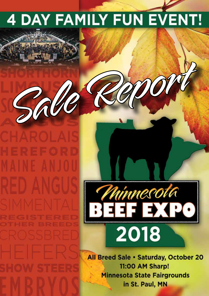# **4 DAY FAMILY FUN EVENT!**





All Breed Sale . Saturday, October 20 11:00 AM Sharp! **Minnesota State Fairgrounds** in St. Paul, MN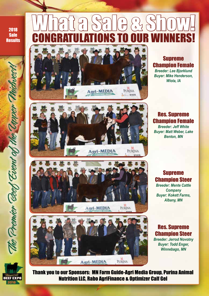2018 Sale

## Results | CONGRATULATIONS TO OUR WINNERS! What a Sale & Show!



Supreme Champion Female *Breeder: Lee Bjorklund Buyer: Mike Henderson, Wiota, IA*





Agri-MEDIA



*Buyer: Matt Weber, Lake Benton, MN*

Supreme Champion Steer

*Breeder: Mente Cattle Company Buyer: Kokett Farms, Albany, MN*

#### Res. Supreme Champion Steer

*Breeder: Jerrod Novotny Buyer: Todd Enger, Winnebago, MN*



The Premier Geef Event of the Opper Phichves

Thank you to our Sponsors: MN Farm Guide-Agri Media Group, Purina Animal Nutrition LLC, Rabo AgriFinance & Optimizer Calf Gel

PURINA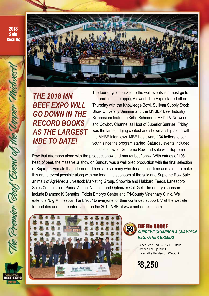2018 **Sale Results** 

The Premier Beef Event of th

**EEF EXPO** 



## *THE 2018 MN BEEF EXPO WILL GO DOWN IN THE RECORD BOOKS AS THE LARGEST MBE TO DATE!*

The four days of packed to the wall events is a must go to for families in the upper Midwest. The Expo started off on Thursday with the Knowledge Bowl, Sullivan Supply Stock Show University Seminar and the MYBEP Beef Industry Symposium featuring Kirbe Schnoor of RFD-TV Network and Cowboy Channel as Host of Superior Sunrise. Friday was the large judging contest and showmanship along with the MYBF Interviews. MBE has award 134 heifers to our youth since the program started. Saturday events included the sale show for Supreme Row and sale with Supreme

Row that afternoon along with the prospect show and market beef show. With entries of 1031 head of beef, the massive Jr show on Sunday was a well oiled production with the final selection of Supreme Female that afternoon. There are so many who donate their time and talent to make this grand event possible along with our long time sponsors of the sale and Supreme Row Sale animals of Agri-Media Livestock Marketing Group, Showrite and Hubbard Feeds, Lanesboro Sales Commission, Purina Animal Nutrition and Optimizer Calf Gel. The embryo sponsors include Diamond K Genetics, Polzin Embryo Center and Tri-County Veterinary Clinic. We extend a "Big Minnesota Thank You" to everyone for their continued support. Visit the website for updates and future information on the 2019 MBE at www.mnbeefexpo.com.



#### BJF Flo 8008F *SUPREME CHAMPION & CHAMPION REG. OTHER BREEDS* 59

Bieber Deep End B597 x THF Belle Breeder: Lee Bjorklund Buyer: Mike Henderson, Wiota, IA

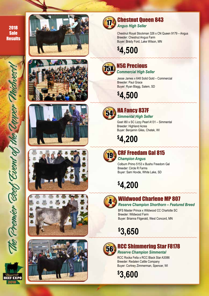2018 **Sale Results** 

The Premier Geef Event of the Topper Philibbes

**BEEF EXPO** 















#### Chestnut Queen 843 *Angus High Seller*

Chestnut Royal Stockman 326 x CN Queen 9179 – Angus Breeder: Chestnut Angus Farm Buyer: Brady Ford, Lake Wilson, MN

**\$ 4,500**



## N5G Precious

*Commercial High Seller*

Jesse James x 648 Solid Gold – Commercial Breeder: Paul Grace Buyer: Ryan Blagg, Salem, SD

**\$ 4,500**



#### HA Fancy 837F *Simmental High Seller*

Goet I80 x SC Lizzy Pearl A131 – Simmental Breeder: Highland Acres Buyer: Benjamin Giles, Chetek, WI

**\$ 4,200**



#### CRF Freedam Gal 815 *Champion Angus*

Colburn Primo 5153 x Bushs Freedom Gal Breeder: Circle R Farms Buyer: Sam Hovde, White Lake, SD

**\$ 4,200**



#### Wildwood Charlene MP 807

*Reserve Champion Shorthorn – Featured Breed*

BFS Master Prince x Wildwood CC Charlotte SC Breeder: Wildwood Farm Buyer: Brianna Fitgerald, West Concord, MN

**\$ 3,650**



#### RCC Shimmering Star F8178

*Reserve Champion Simmental* RCC Rocka Fella x RCC Black Star A3086 Breeder: Redalen Cattle Company Buyer: Cortney Zimmerman, Spencer, WI

**\$ 3,600**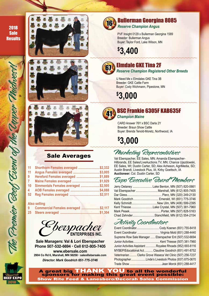2018 **Sale Results** 







#### Sale Averages

| Shorthorn Females averaged \$2,332<br>Angus Females averaged \$3,005<br>Hereford Females averaged \$1,889<br>Maine Females averaged \$1,929<br>Simmentals Females averaged \$2,505 |
|------------------------------------------------------------------------------------------------------------------------------------------------------------------------------------|

#### **Also selling**

| 9 | ______ | Commercial Females averaged \$2,117 |
|---|--------|-------------------------------------|
|   |        |                                     |

Cherspacher

**Sale Managers: Val & Lori Eberspacher Phone 507-532-6694 • Cell 612-805-7405 www.ebersale.com 2904 Co Rd 6, Marshall, MN 56258 • sales@ebersale.com** *Director: Mark Goodrich 651-775-3746*



## Bullerman Georgina 8085

*Reserve Champion Angus*

PVF Insight 0129 x Bullerman Georgina 1589 Breeder: Bullerman Angus Buyer: Taylor Ford, Lake Wilson, MN

**\$ 3,400**



#### Elmdale GKE Tina 2F

*Reserve Champion Registered Other Breeds*

U Need Me x Elmdales GKE Tina 3B Breeder: GKE Cattle Farm Buyer: Cody Wichmann, Pipestone, MN

**\$ 3,000**



#### BSC Frankie 6305F KAB635F *Champion Maine*

CARD Answer 76Y x BSC Darla 2Y Breeder: Braun Show Cattle Buyer: Brenda Tenold-Moretz, Northwood, IA

**\$ 3,000**

## Marketing Representatives

Val Eberspacher, EE Sales, MN; Amanda Eberspacher-Hilbrands, EE Sales/LiveAuctions.TV, MN; Chance Ujazdowski, EE Sales, WI; Dustin Carter, SD; Alex Acheson, AgriMedia, SD; Austin Brandt, Livestock Plus, IA; Kirby Goettsch, IA **Auctioneer:** Col. Dustin Carter, SD

## Expo Executive Board Members

| Jerry Delaney  Lake Benton, MN (507) 820-0661 |
|-----------------------------------------------|
| Val Eberspacher  Marshall, MN (612) 805-7405  |
|                                               |
| Mark Goodrich Emerald, WI (651) 775-3746      |
| Kelly SchmidtNew Ulm, MN (406) 599-2395       |
| Kent ThiesseLake Crystal, MN (507) 381-7960   |
|                                               |
| Chad ZehnderStanchfield, MN (612) 554-2154    |

#### Activity Coordinators

| Event Coordinator  Virginia Mold (651) 288-4440             |  |  |  |  |  |  |
|-------------------------------------------------------------|--|--|--|--|--|--|
| Supreme Row Sale Manager  Eberspacher Ent (507) 532-6694    |  |  |  |  |  |  |
|                                                             |  |  |  |  |  |  |
| Junior Activities Assistant Royalee Rhoads (952) 693-8116   |  |  |  |  |  |  |
| MYBEP/Educationat Act.  Claudine Goodrich (651) 491-8752    |  |  |  |  |  |  |
| Veterinarian  Clarks Grove Waseca Vet Clinic (507) 256-7237 |  |  |  |  |  |  |
| PhotographerLinde's Livestock Photos (937) 875-0670         |  |  |  |  |  |  |
|                                                             |  |  |  |  |  |  |

A great big THANK YOU to all the wonderful sponsors for making this great event possible: Show Rite Feed & Lanesboro/Decorah Sales Commission



BEEF EXPO